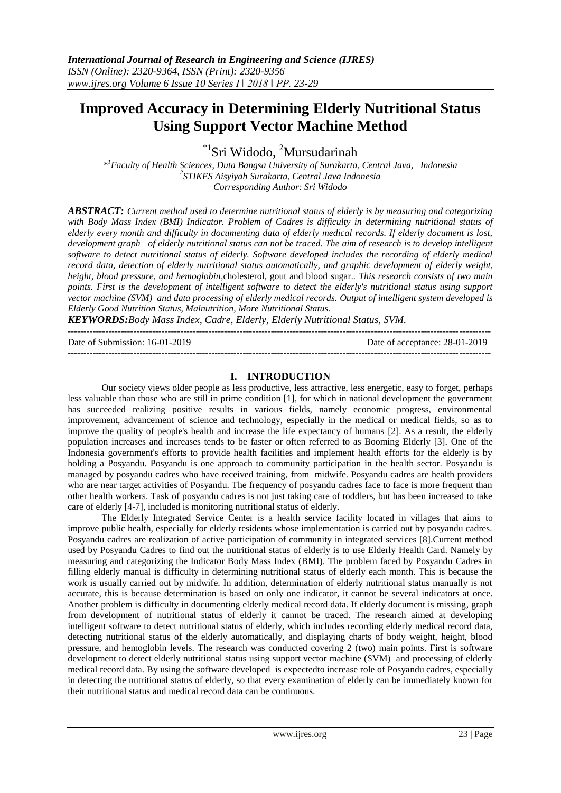# **Improved Accuracy in Determining Elderly Nutritional Status Using Support Vector Machine Method**

\*<sup>1</sup>Sri Widodo, <sup>2</sup>Mursudarinah

*\* <sup>1</sup>Faculty of Health Sciences, Duta Bangsa University of Surakarta, Central Java, Indonesia 2 STIKES Aisyiyah Surakarta, Central Java Indonesia Corresponding Author: Sri Widodo*

*ABSTRACT: Current method used to determine nutritional status of elderly is by measuring and categorizing with Body Mass Index (BMI) Indicator. Problem of Cadres is difficulty in determining nutritional status of elderly every month and difficulty in documenting data of elderly medical records. If elderly document is lost,*  development graph of elderly nutritional status can not be traced. The aim of research is to develop intelligent *software to detect nutritional status of elderly. Software developed includes the recording of elderly medical record data, detection of elderly nutritional status automatically, and graphic development of elderly weight, height, blood pressure, and hemoglobin,*cholesterol, gout and blood sugar.*. This research consists of two main points. First is the development of intelligent software to detect the elderly's nutritional status using support vector machine (SVM) and data processing of elderly medical records. Output of intelligent system developed is Elderly Good Nutrition Status, Malnutrition, More Nutritional Status.*

*KEYWORDS:Body Mass Index, Cadre, Elderly, Elderly Nutritional Status, SVM.*

---------------------------------------------------------------------------------------------------------------------------------------

Date of Submission: 16-01-2019 Date of acceptance: 28-01-2019  $-1-\frac{1}{2}$ 

### **I. INTRODUCTION**

Our society views older people as less productive, less attractive, less energetic, easy to forget, perhaps less valuable than those who are still in prime condition [1], for which in national development the government has succeeded realizing positive results in various fields, namely economic progress, environmental improvement, advancement of science and technology, especially in the medical or medical fields, so as to improve the quality of people's health and increase the life expectancy of humans [2]. As a result, the elderly population increases and increases tends to be faster or often referred to as Booming Elderly [3]. One of the Indonesia government's efforts to provide health facilities and implement health efforts for the elderly is by holding a Posyandu. Posyandu is one approach to community participation in the health sector. Posyandu is managed by posyandu cadres who have received training, from midwife. Posyandu cadres are health providers who are near target activities of Posyandu. The frequency of posyandu cadres face to face is more frequent than other health workers. Task of posyandu cadres is not just taking care of toddlers, but has been increased to take care of elderly [4-7], included is monitoring nutritional status of elderly.

The Elderly Integrated Service Center is a health service facility located in villages that aims to improve public health, especially for elderly residents whose implementation is carried out by posyandu cadres. Posyandu cadres are realization of active participation of community in integrated services [8].Current method used by Posyandu Cadres to find out the nutritional status of elderly is to use Elderly Health Card. Namely by measuring and categorizing the Indicator Body Mass Index (BMI). The problem faced by Posyandu Cadres in filling elderly manual is difficulty in determining nutritional status of elderly each month. This is because the work is usually carried out by midwife. In addition, determination of elderly nutritional status manually is not accurate, this is because determination is based on only one indicator, it cannot be several indicators at once. Another problem is difficulty in documenting elderly medical record data. If elderly document is missing, graph from development of nutritional status of elderly it cannot be traced. The research aimed at developing intelligent software to detect nutritional status of elderly, which includes recording elderly medical record data, detecting nutritional status of the elderly automatically, and displaying charts of body weight, height, blood pressure, and hemoglobin levels. The research was conducted covering 2 (two) main points. First is software development to detect elderly nutritional status using support vector machine (SVM) and processing of elderly medical record data. By using the software developed is expectedto increase role of Posyandu cadres, especially in detecting the nutritional status of elderly, so that every examination of elderly can be immediately known for their nutritional status and medical record data can be continuous.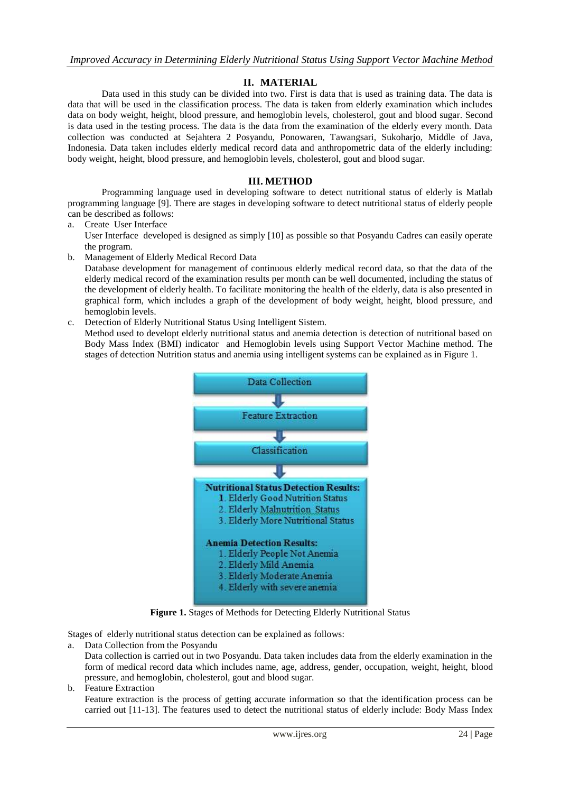## **II. MATERIAL**

Data used in this study can be divided into two. First is data that is used as training data. The data is data that will be used in the classification process. The data is taken from elderly examination which includes data on body weight, height, blood pressure, and hemoglobin levels, cholesterol, gout and blood sugar. Second is data used in the testing process. The data is the data from the examination of the elderly every month. Data collection was conducted at Sejahtera 2 Posyandu, Ponowaren, Tawangsari, Sukoharjo, Middle of Java, Indonesia. Data taken includes elderly medical record data and anthropometric data of the elderly including: body weight, height, blood pressure, and hemoglobin levels, cholesterol, gout and blood sugar.

## **III. METHOD**

Programming language used in developing software to detect nutritional status of elderly is Matlab programming language [9]. There are stages in developing software to detect nutritional status of elderly people can be described as follows:

- a. Create User Interface
- User Interface developed is designed as simply [10] as possible so that Posyandu Cadres can easily operate the program.
- b. Management of Elderly Medical Record Data

Database development for management of continuous elderly medical record data, so that the data of the elderly medical record of the examination results per month can be well documented, including the status of the development of elderly health. To facilitate monitoring the health of the elderly, data is also presented in graphical form, which includes a graph of the development of body weight, height, blood pressure, and hemoglobin levels.

c. Detection of Elderly Nutritional Status Using Intelligent Sistem.

Method used to developt elderly nutritional status and anemia detection is detection of nutritional based on Body Mass Index (BMI) indicator and Hemoglobin levels using Support Vector Machine method. The stages of detection Nutrition status and anemia using intelligent systems can be explained as in Figure 1.



**Figure 1.** Stages of Methods for Detecting Elderly Nutritional Status

Stages of elderly nutritional status detection can be explained as follows:

a. Data Collection from the Posyandu

Data collection is carried out in two Posyandu. Data taken includes data from the elderly examination in the form of medical record data which includes name, age, address, gender, occupation, weight, height, blood pressure, and hemoglobin, cholesterol, gout and blood sugar.

b. Feature Extraction

Feature extraction is the process of getting accurate information so that the identification process can be carried out [11-13]. The features used to detect the nutritional status of elderly include: Body Mass Index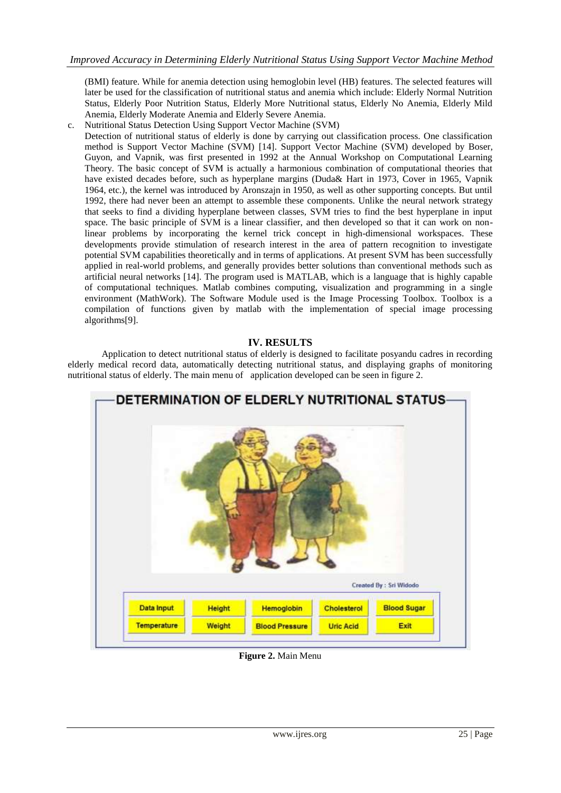(BMI) feature. While for anemia detection using hemoglobin level (HB) features. The selected features will later be used for the classification of nutritional status and anemia which include: Elderly Normal Nutrition Status, Elderly Poor Nutrition Status, Elderly More Nutritional status, Elderly No Anemia, Elderly Mild Anemia, Elderly Moderate Anemia and Elderly Severe Anemia.

c. Nutritional Status Detection Using Support Vector Machine (SVM)

Detection of nutritional status of elderly is done by carrying out classification process. One classification method is Support Vector Machine (SVM) [14]. Support Vector Machine (SVM) developed by Boser, Guyon, and Vapnik, was first presented in 1992 at the Annual Workshop on Computational Learning Theory. The basic concept of SVM is actually a harmonious combination of computational theories that have existed decades before, such as hyperplane margins (Duda& Hart in 1973, Cover in 1965, Vapnik 1964, etc.), the kernel was introduced by Aronszajn in 1950, as well as other supporting concepts. But until 1992, there had never been an attempt to assemble these components. Unlike the neural network strategy that seeks to find a dividing hyperplane between classes, SVM tries to find the best hyperplane in input space. The basic principle of SVM is a linear classifier, and then developed so that it can work on nonlinear problems by incorporating the kernel trick concept in high-dimensional workspaces. These developments provide stimulation of research interest in the area of pattern recognition to investigate potential SVM capabilities theoretically and in terms of applications. At present SVM has been successfully applied in real-world problems, and generally provides better solutions than conventional methods such as artificial neural networks [14]. The program used is MATLAB, which is a language that is highly capable of computational techniques. Matlab combines computing, visualization and programming in a single environment (MathWork). The Software Module used is the Image Processing Toolbox. Toolbox is a compilation of functions given by matlab with the implementation of special image processing algorithms[9].

### **IV. RESULTS**

Application to detect nutritional status of elderly is designed to facilitate posyandu cadres in recording elderly medical record data, automatically detecting nutritional status, and displaying graphs of monitoring nutritional status of elderly. The main menu of application developed can be seen in figure 2.



**Figure 2.** Main Menu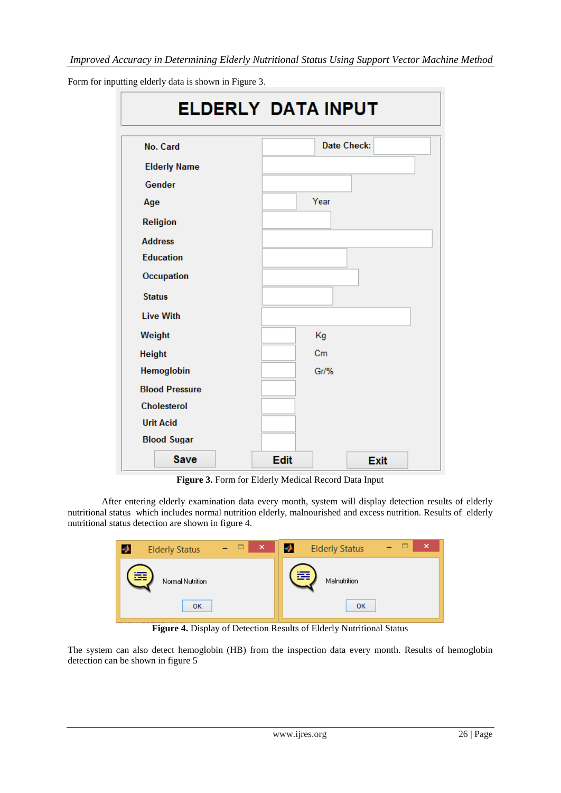| <b>ELDERLY DATA INPUT</b> |                            |  |  |  |  |  |  |  |
|---------------------------|----------------------------|--|--|--|--|--|--|--|
| No. Card                  | <b>Date Check:</b>         |  |  |  |  |  |  |  |
| <b>Elderly Name</b>       |                            |  |  |  |  |  |  |  |
| Gender                    |                            |  |  |  |  |  |  |  |
| Age                       | Year                       |  |  |  |  |  |  |  |
| <b>Religion</b>           |                            |  |  |  |  |  |  |  |
| <b>Address</b>            |                            |  |  |  |  |  |  |  |
| <b>Education</b>          |                            |  |  |  |  |  |  |  |
| Occupation                |                            |  |  |  |  |  |  |  |
| <b>Status</b>             |                            |  |  |  |  |  |  |  |
| <b>Live With</b>          |                            |  |  |  |  |  |  |  |
| Weight                    | Kg                         |  |  |  |  |  |  |  |
| <b>Height</b>             | Cm                         |  |  |  |  |  |  |  |
| Hemoglobin                | Gr/%                       |  |  |  |  |  |  |  |
| <b>Blood Pressure</b>     |                            |  |  |  |  |  |  |  |
| <b>Cholesterol</b>        |                            |  |  |  |  |  |  |  |
| <b>Urit Acid</b>          |                            |  |  |  |  |  |  |  |
| <b>Blood Sugar</b>        |                            |  |  |  |  |  |  |  |
| Save                      | <b>Edit</b><br><b>Exit</b> |  |  |  |  |  |  |  |

Form for inputting elderly data is shown in Figure 3.

**Figure 3.** Form for Elderly Medical Record Data Input

After entering elderly examination data every month, system will display detection results of elderly nutritional status which includes normal nutrition elderly, malnourished and excess nutrition. Results of elderly nutritional status detection are shown in figure 4.



**Figure 4.** Display of Detection Results of Elderly Nutritional Status

The system can also detect hemoglobin (HB) from the inspection data every month. Results of hemoglobin detection can be shown in figure 5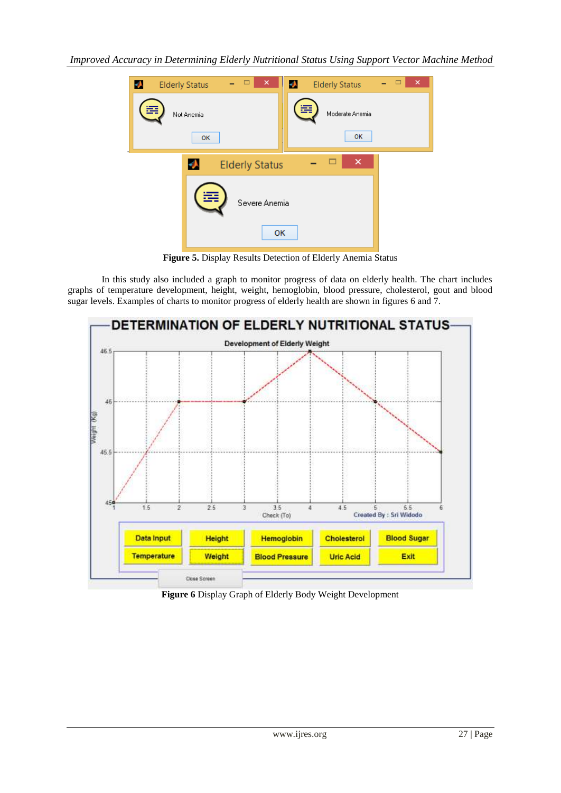

**Figure 5.** Display Results Detection of Elderly Anemia Status

In this study also included a graph to monitor progress of data on elderly health. The chart includes graphs of temperature development, height, weight, hemoglobin, blood pressure, cholesterol, gout and blood sugar levels. Examples of charts to monitor progress of elderly health are shown in figures 6 and 7.



**Figure 6** Display Graph of Elderly Body Weight Development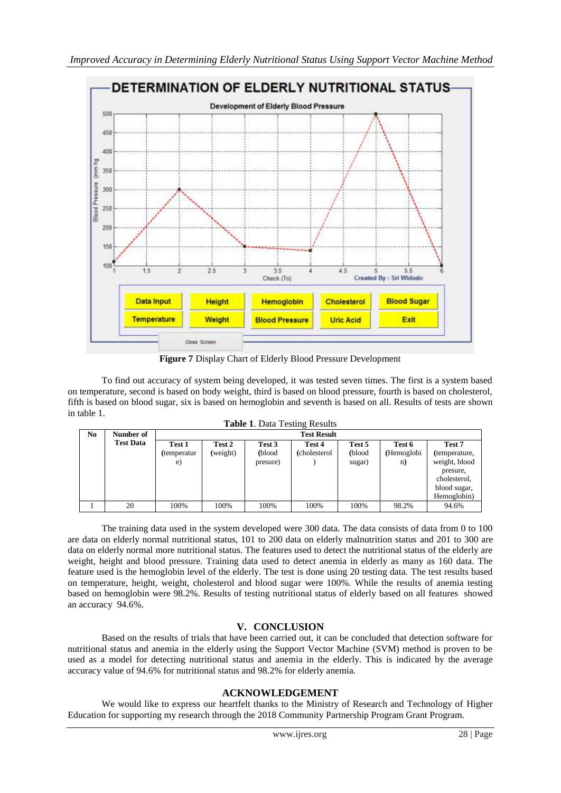

**Figure 7** Display Chart of Elderly Blood Pressure Development

To find out accuracy of system being developed, it was tested seven times. The first is a system based on temperature, second is based on body weight, third is based on blood pressure, fourth is based on cholesterol, fifth is based on blood sugar, six is based on hemoglobin and seventh is based on all. Results of tests are shown in table 1.

|--|

| No | Number of        | <b>Test Result</b>          |                    |                              |                         |                            |                            |                                                                                      |  |  |  |  |
|----|------------------|-----------------------------|--------------------|------------------------------|-------------------------|----------------------------|----------------------------|--------------------------------------------------------------------------------------|--|--|--|--|
|    | <b>Test Data</b> | Test 1<br>(temperatur<br>e) | Test 2<br>(weight) | Test 3<br>(blood<br>presure) | Test 4<br>(cholesterol) | Test 5<br>(blood<br>sugar) | Test 6<br>(Hemoglobi<br>n) | Test 7<br>(temperature,<br>weight, blood<br>presure.<br>cholesterol,<br>blood sugar, |  |  |  |  |
|    |                  |                             |                    |                              |                         |                            |                            | Hemoglobin)                                                                          |  |  |  |  |
|    | 20               | 100%                        | 100%               | 100%                         | 100%                    | 100%                       | 98.2%                      | 94.6%                                                                                |  |  |  |  |

The training data used in the system developed were 300 data. The data consists of data from 0 to 100 are data on elderly normal nutritional status, 101 to 200 data on elderly malnutrition status and 201 to 300 are data on elderly normal more nutritional status. The features used to detect the nutritional status of the elderly are weight, height and blood pressure. Training data used to detect anemia in elderly as many as 160 data. The feature used is the hemoglobin level of the elderly. The test is done using 20 testing data. The test results based on temperature, height, weight, cholesterol and blood sugar were 100%. While the results of anemia testing based on hemoglobin were 98.2%. Results of testing nutritional status of elderly based on all features showed an accuracy 94.6%.

## **V. CONCLUSION**

Based on the results of trials that have been carried out, it can be concluded that detection software for nutritional status and anemia in the elderly using the Support Vector Machine (SVM) method is proven to be used as a model for detecting nutritional status and anemia in the elderly. This is indicated by the average accuracy value of 94.6% for nutritional status and 98.2% for elderly anemia.

## **ACKNOWLEDGEMENT**

We would like to express our heartfelt thanks to the Ministry of Research and Technology of Higher Education for supporting my research through the 2018 Community Partnership Program Grant Program.